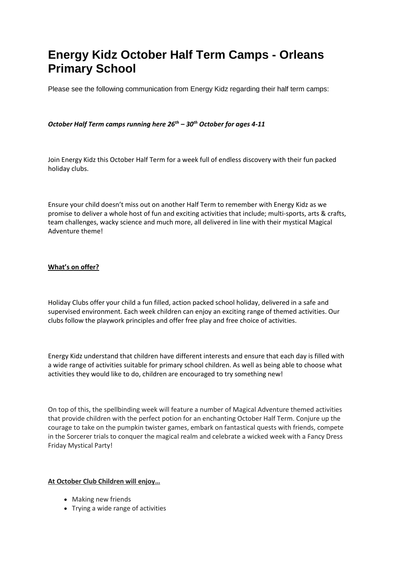# **Energy Kidz October Half Term Camps - Orleans Primary School**

Please see the following communication from Energy Kidz regarding their half term camps:

# *October Half Term camps running here 26th – 30th October for ages 4-11*

Join Energy Kidz this October Half Term for a week full of endless discovery with their fun packed holiday clubs.

Ensure your child doesn't miss out on another Half Term to remember with Energy Kidz as we promise to deliver a whole host of fun and exciting activities that include; multi-sports, arts & crafts, team challenges, wacky science and much more, all delivered in line with their mystical Magical Adventure theme!

#### **What's on offer?**

Holiday Clubs offer your child a fun filled, action packed school holiday, delivered in a safe and supervised environment. Each week children can enjoy an exciting range of themed activities. Our clubs follow the playwork principles and offer free play and free choice of activities.

Energy Kidz understand that children have different interests and ensure that each day is filled with a wide range of activities suitable for primary school children. As well as being able to choose what activities they would like to do, children are encouraged to try something new!

On top of this, the spellbinding week will feature a number of Magical Adventure themed activities that provide children with the perfect potion for an enchanting October Half Term. Conjure up the courage to take on the pumpkin twister games, embark on fantastical quests with friends, compete in the Sorcerer trials to conquer the magical realm and celebrate a wicked week with a Fancy Dress Friday Mystical Party!

## **At October Club Children will enjoy…**

- Making new friends
- Trying a wide range of activities